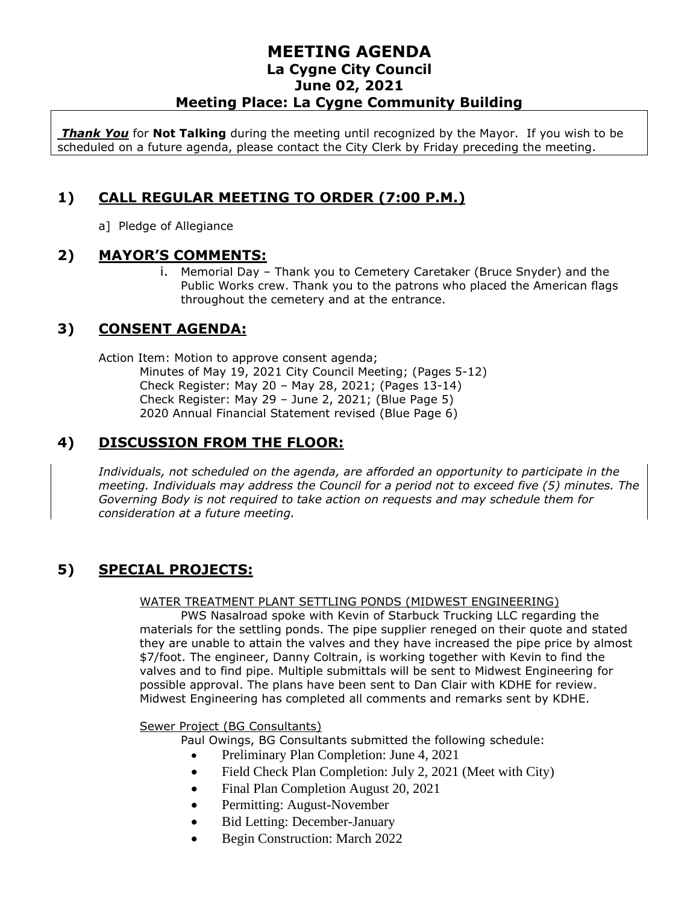*Thank You* for **Not Talking** during the meeting until recognized by the Mayor. If you wish to be scheduled on a future agenda, please contact the City Clerk by Friday preceding the meeting.

# **1) CALL REGULAR MEETING TO ORDER (7:00 P.M.)**

a] Pledge of Allegiance

## **2) MAYOR'S COMMENTS:**

i. Memorial Day – Thank you to Cemetery Caretaker (Bruce Snyder) and the Public Works crew. Thank you to the patrons who placed the American flags throughout the cemetery and at the entrance.

# **3) CONSENT AGENDA:**

Action Item: Motion to approve consent agenda;

Minutes of May 19, 2021 City Council Meeting; (Pages 5-12) Check Register: May 20 – May 28, 2021; (Pages 13-14) Check Register: May 29 – June 2, 2021; (Blue Page 5) 2020 Annual Financial Statement revised (Blue Page 6)

## **4) DISCUSSION FROM THE FLOOR:**

*Individuals, not scheduled on the agenda, are afforded an opportunity to participate in the meeting. Individuals may address the Council for a period not to exceed five (5) minutes. The Governing Body is not required to take action on requests and may schedule them for consideration at a future meeting.* 

# **5) SPECIAL PROJECTS:**

#### WATER TREATMENT PLANT SETTLING PONDS (MIDWEST ENGINEERING)

PWS Nasalroad spoke with Kevin of Starbuck Trucking LLC regarding the materials for the settling ponds. The pipe supplier reneged on their quote and stated they are unable to attain the valves and they have increased the pipe price by almost \$7/foot. The engineer, Danny Coltrain, is working together with Kevin to find the valves and to find pipe. Multiple submittals will be sent to Midwest Engineering for possible approval. The plans have been sent to Dan Clair with KDHE for review. Midwest Engineering has completed all comments and remarks sent by KDHE.

#### Sewer Project (BG Consultants)

Paul Owings, BG Consultants submitted the following schedule:

- Preliminary Plan Completion: June 4, 2021
- Field Check Plan Completion: July 2, 2021 (Meet with City)
- Final Plan Completion August 20, 2021
- Permitting: August-November
- Bid Letting: December-January
- Begin Construction: March 2022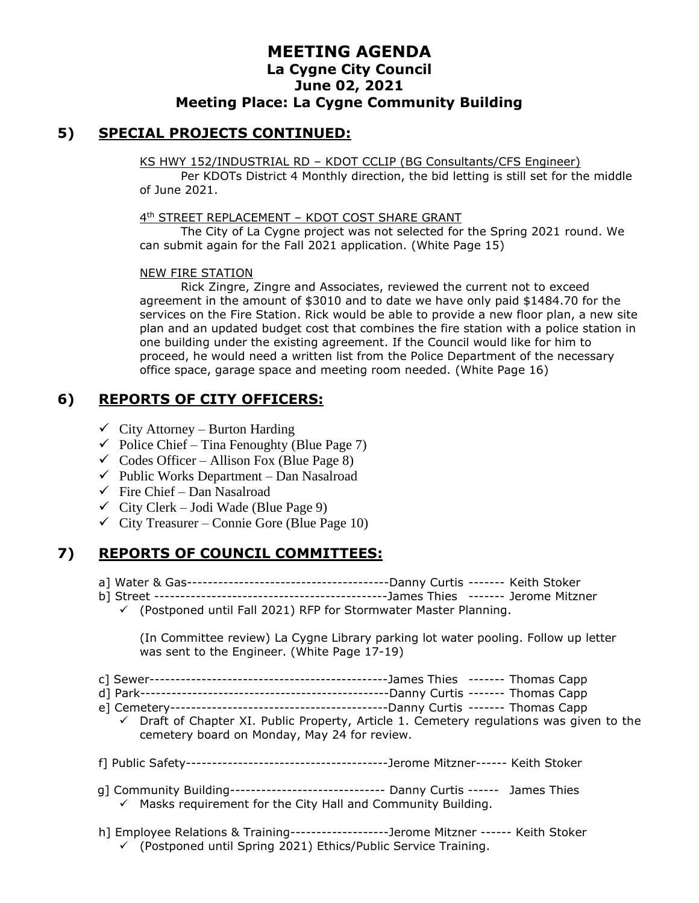## **5) SPECIAL PROJECTS CONTINUED:**

#### KS HWY 152/INDUSTRIAL RD – KDOT CCLIP (BG Consultants/CFS Engineer)

Per KDOTs District 4 Monthly direction, the bid letting is still set for the middle of June 2021.

#### 4 th STREET REPLACEMENT – KDOT COST SHARE GRANT

The City of La Cygne project was not selected for the Spring 2021 round. We can submit again for the Fall 2021 application. (White Page 15)

#### NEW FIRE STATION

Rick Zingre, Zingre and Associates, reviewed the current not to exceed agreement in the amount of \$3010 and to date we have only paid \$1484.70 for the services on the Fire Station. Rick would be able to provide a new floor plan, a new site plan and an updated budget cost that combines the fire station with a police station in one building under the existing agreement. If the Council would like for him to proceed, he would need a written list from the Police Department of the necessary office space, garage space and meeting room needed. (White Page 16)

# **6) REPORTS OF CITY OFFICERS:**

- $\checkmark$  City Attorney Burton Harding
- $\checkmark$  Police Chief Tina Fenoughty (Blue Page 7)
- $\checkmark$  Codes Officer Allison Fox (Blue Page 8)
- $\checkmark$  Public Works Department Dan Nasalroad
- $\checkmark$  Fire Chief Dan Nasalroad
- $\checkmark$  City Clerk Jodi Wade (Blue Page 9)
- $\checkmark$  City Treasurer Connie Gore (Blue Page 10)

# **7) REPORTS OF COUNCIL COMMITTEES:**

- a] Water & Gas---------------------------------------Danny Curtis ------- Keith Stoker
- b] Street ---------------------------------------------James Thies ------- Jerome Mitzner
	- ✓ (Postponed until Fall 2021) RFP for Stormwater Master Planning.

(In Committee review) La Cygne Library parking lot water pooling. Follow up letter was sent to the Engineer. (White Page 17-19)

- c] Sewer----------------------------------------------James Thies ------- Thomas Capp
- d] Park------------------------------------------------Danny Curtis ------- Thomas Capp
- e] Cemetery------------------------------------------Danny Curtis ------- Thomas Capp
	- $\checkmark$  Draft of Chapter XI. Public Property, Article 1. Cemetery regulations was given to the cemetery board on Monday, May 24 for review.
- f] Public Safety---------------------------------------Jerome Mitzner------ Keith Stoker
- g] Community Building------------------------------ Danny Curtis ------ James Thies  $\checkmark$  Masks requirement for the City Hall and Community Building.
- h] Employee Relations & Training-------------------Jerome Mitzner ------ Keith Stoker ✓ (Postponed until Spring 2021) Ethics/Public Service Training.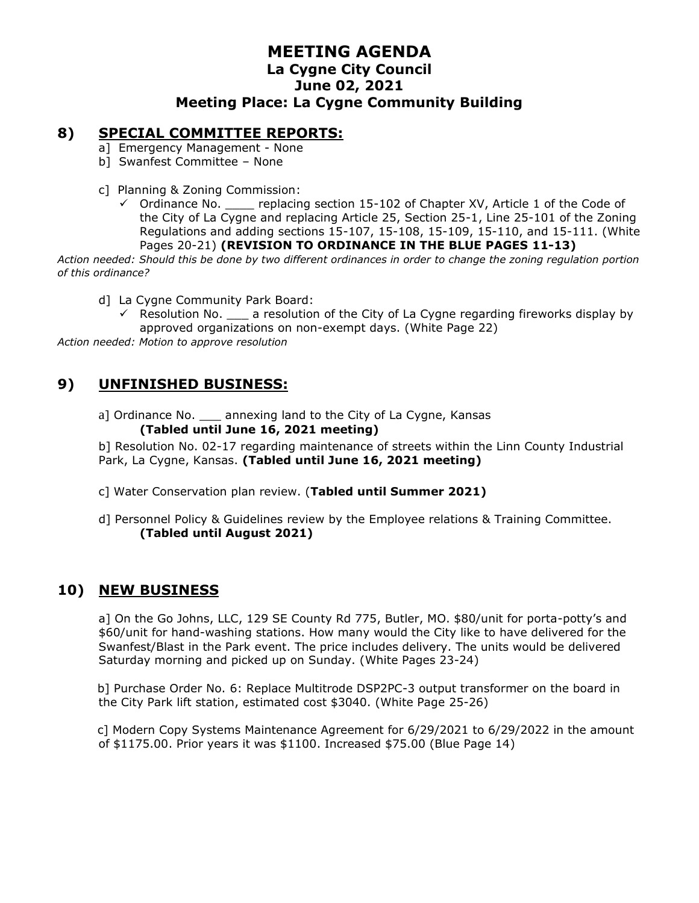#### **8) SPECIAL COMMITTEE REPORTS:**

- a] Emergency Management None
- b] Swanfest Committee None
- c] Planning & Zoning Commission:
	- $\checkmark$  Ordinance No. \_\_\_\_ replacing section 15-102 of Chapter XV, Article 1 of the Code of the City of La Cygne and replacing Article 25, Section 25-1, Line 25-101 of the Zoning Regulations and adding sections 15-107, 15-108, 15-109, 15-110, and 15-111. (White Pages 20-21) **(REVISION TO ORDINANCE IN THE BLUE PAGES 11-13)**

*Action needed: Should this be done by two different ordinances in order to change the zoning regulation portion of this ordinance?*

- d] La Cygne Community Park Board:
	- $\checkmark$  Resolution No.  $\Box$  a resolution of the City of La Cygne regarding fireworks display by approved organizations on non-exempt days. (White Page 22)

*Action needed: Motion to approve resolution*

## **9) UNFINISHED BUSINESS:**

al Ordinance No. \_\_\_ annexing land to the City of La Cygne, Kansas **(Tabled until June 16, 2021 meeting)**

b] Resolution No. 02-17 regarding maintenance of streets within the Linn County Industrial Park, La Cygne, Kansas. **(Tabled until June 16, 2021 meeting)**

- c] Water Conservation plan review. (**Tabled until Summer 2021)**
- d] Personnel Policy & Guidelines review by the Employee relations & Training Committee. **(Tabled until August 2021)**

## **10) NEW BUSINESS**

a] On the Go Johns, LLC, 129 SE County Rd 775, Butler, MO. \$80/unit for porta-potty's and \$60/unit for hand-washing stations. How many would the City like to have delivered for the Swanfest/Blast in the Park event. The price includes delivery. The units would be delivered Saturday morning and picked up on Sunday. (White Pages 23-24)

b] Purchase Order No. 6: Replace Multitrode DSP2PC-3 output transformer on the board in the City Park lift station, estimated cost \$3040. (White Page 25-26)

c] Modern Copy Systems Maintenance Agreement for 6/29/2021 to 6/29/2022 in the amount of \$1175.00. Prior years it was \$1100. Increased \$75.00 (Blue Page 14)